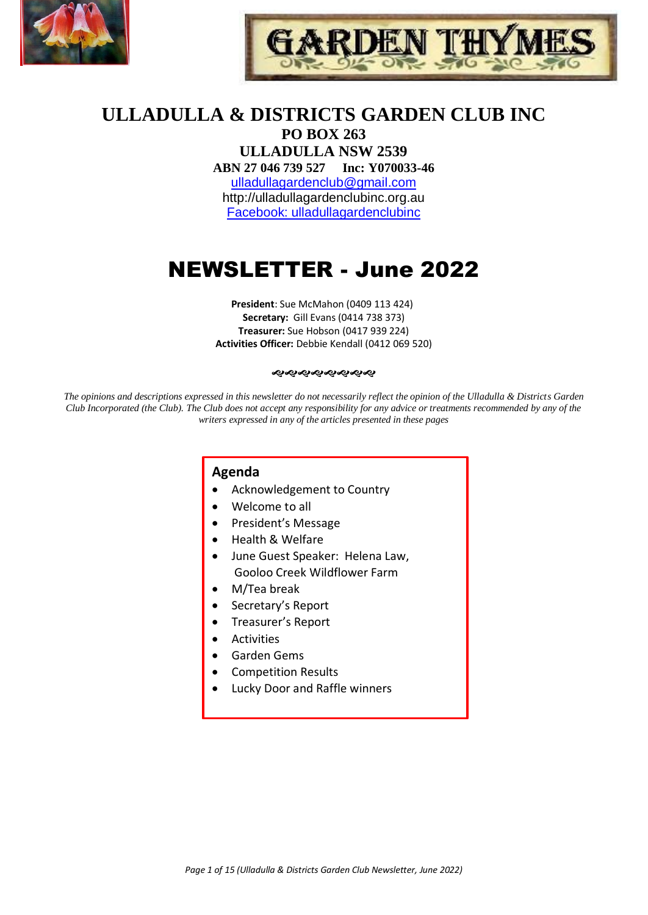



## **ULLADULLA & DISTRICTS GARDEN CLUB INC**

**PO BOX 263 ULLADULLA NSW 2539 ABN 27 046 739 527 Inc: Y070033-46**  [ulladullagardenclub@gmail.com](mailto:ulladullagardenclub@gmail.com) http://ulladullagardenclubinc.org.au Facebook: ulladullagardenclubinc

# NEWSLETTER - June 2022

**President**: Sue McMahon (0409 113 424) **Secretary:** Gill Evans (0414 738 373) **Treasurer:** Sue Hobson (0417 939 224) **Activities Officer:** Debbie Kendall (0412 069 520)

#### やややややややや

*The opinions and descriptions expressed in this newsletter do not necessarily reflect the opinion of the Ulladulla & Districts Garden Club Incorporated (the Club). The Club does not accept any responsibility for any advice or treatments recommended by any of the writers expressed in any of the articles presented in these pages*

### **Agenda**

- Acknowledgement to Country
- Welcome to all
- President's Message
- Health & Welfare
- June Guest Speaker: Helena Law, Gooloo Creek Wildflower Farm
- M/Tea break
- Secretary's Report
- Treasurer's Report
- **•** Activities
- Garden Gems
- Competition Results
- Lucky Door and Raffle winners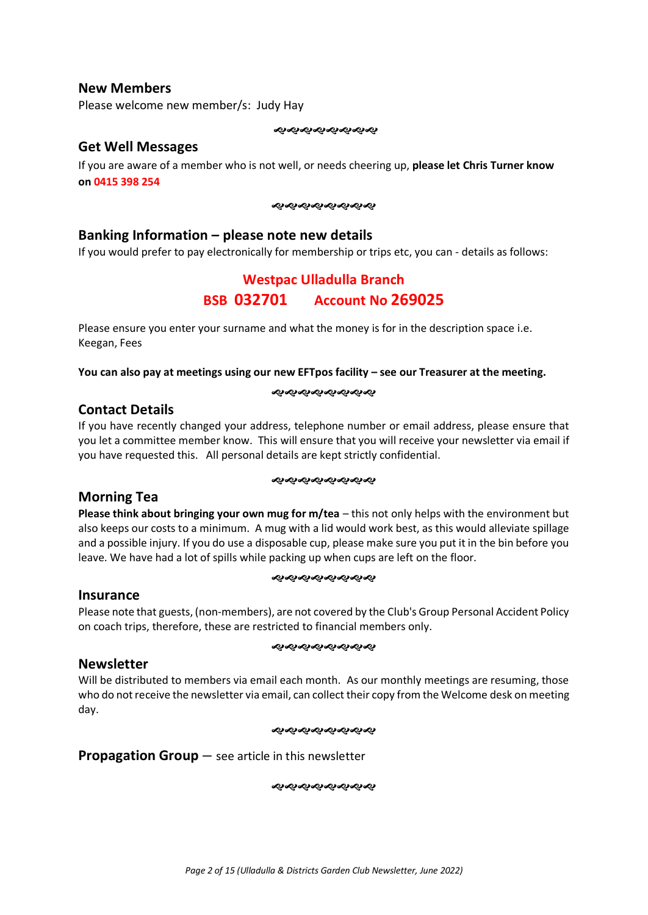### **New Members**

Please welcome new member/s: Judy Hay

#### 

### **Get Well Messages**

If you are aware of a member who is not well, or needs cheering up, **please let Chris Turner know on 0415 398 254**

#### **����������**

### **Banking Information – please note new details**

If you would prefer to pay electronically for membership or trips etc, you can - details as follows:

## **Westpac Ulladulla Branch BSB 032701 Account No 269025**

Please ensure you enter your surname and what the money is for in the description space i.e. Keegan, Fees

**You can also pay at meetings using our new EFTpos facility – see our Treasurer at the meeting.**

**����������** 

### **Contact Details**

If you have recently changed your address, telephone number or email address, please ensure that you let a committee member know. This will ensure that you will receive your newsletter via email if you have requested this. All personal details are kept strictly confidential.

#### ෯෯෯෯෯෯෯

#### **Morning Tea**

**Please think about bringing your own mug for m/tea** – this not only helps with the environment but also keeps our costs to a minimum. A mug with a lid would work best, as this would alleviate spillage and a possible injury. If you do use a disposable cup, please make sure you put it in the bin before you leave. We have had a lot of spills while packing up when cups are left on the floor.

#### やややややややや

#### **Insurance**

Please note that guests, (non-members), are not covered by the Club's Group Personal Accident Policy on coach trips, therefore, these are restricted to financial members only.

#### ෯෯෯෯෯෯෯

### **Newsletter**

Will be distributed to members via email each month. As our monthly meetings are resuming, those who do not receive the newsletter via email, can collect their copy from the Welcome desk on meeting day.

おおおおおおおお

**Propagation Group –** see article in this newsletter

やややややややや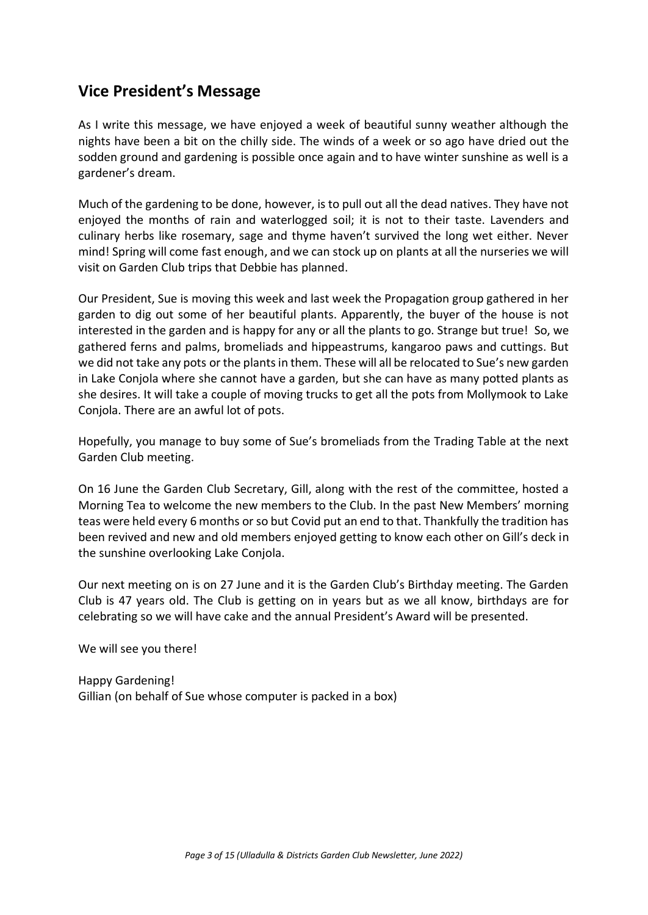## **Vice President's Message**

As I write this message, we have enjoyed a week of beautiful sunny weather although the nights have been a bit on the chilly side. The winds of a week or so ago have dried out the sodden ground and gardening is possible once again and to have winter sunshine as well is a gardener's dream.

Much of the gardening to be done, however, is to pull out all the dead natives. They have not enjoyed the months of rain and waterlogged soil; it is not to their taste. Lavenders and culinary herbs like rosemary, sage and thyme haven't survived the long wet either. Never mind! Spring will come fast enough, and we can stock up on plants at all the nurseries we will visit on Garden Club trips that Debbie has planned.

Our President, Sue is moving this week and last week the Propagation group gathered in her garden to dig out some of her beautiful plants. Apparently, the buyer of the house is not interested in the garden and is happy for any or all the plants to go. Strange but true! So, we gathered ferns and palms, bromeliads and hippeastrums, kangaroo paws and cuttings. But we did not take any pots or the plants in them. These will all be relocated to Sue's new garden in Lake Conjola where she cannot have a garden, but she can have as many potted plants as she desires. It will take a couple of moving trucks to get all the pots from Mollymook to Lake Conjola. There are an awful lot of pots.

Hopefully, you manage to buy some of Sue's bromeliads from the Trading Table at the next Garden Club meeting.

On 16 June the Garden Club Secretary, Gill, along with the rest of the committee, hosted a Morning Tea to welcome the new members to the Club. In the past New Members' morning teas were held every 6 months or so but Covid put an end to that. Thankfully the tradition has been revived and new and old members enjoyed getting to know each other on Gill's deck in the sunshine overlooking Lake Conjola.

Our next meeting on is on 27 June and it is the Garden Club's Birthday meeting. The Garden Club is 47 years old. The Club is getting on in years but as we all know, birthdays are for celebrating so we will have cake and the annual President's Award will be presented.

We will see you there!

Happy Gardening! Gillian (on behalf of Sue whose computer is packed in a box)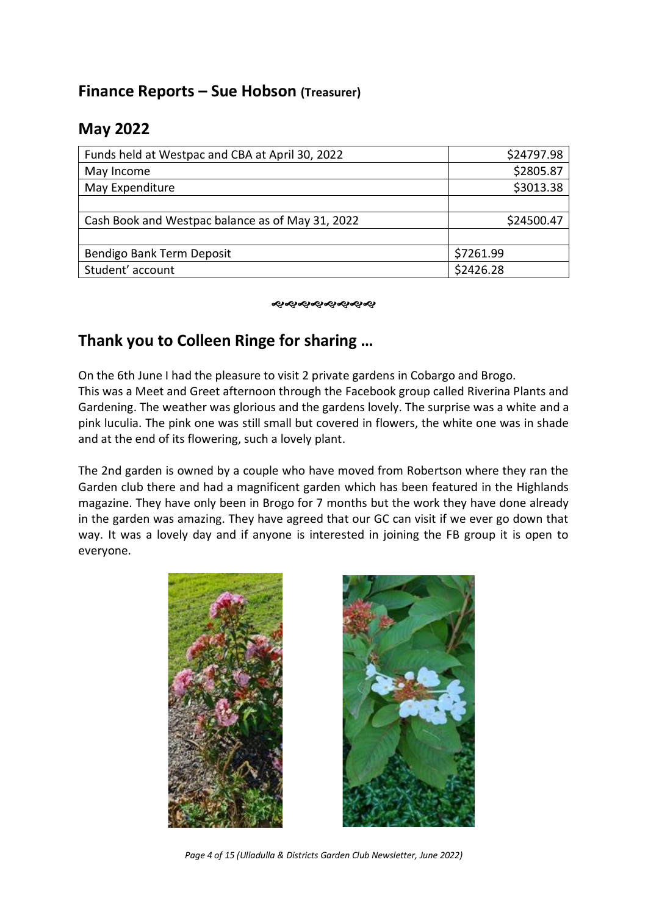## **Finance Reports – Sue Hobson (Treasurer)**

## **May 2022**

| Funds held at Westpac and CBA at April 30, 2022  | \$24797.98 |
|--------------------------------------------------|------------|
| May Income                                       | \$2805.87  |
| May Expenditure                                  | \$3013.38  |
|                                                  |            |
| Cash Book and Westpac balance as of May 31, 2022 | \$24500.47 |
|                                                  |            |
| Bendigo Bank Term Deposit                        | \$7261.99  |
| Student' account                                 | \$2426.28  |

**ଶବ୍ଦଶବ୍ୟବଶ୍ୟ** 

## **Thank you to Colleen Ringe for sharing …**

On the 6th June I had the pleasure to visit 2 private gardens in Cobargo and Brogo. This was a Meet and Greet afternoon through the Facebook group called Riverina Plants and Gardening. The weather was glorious and the gardens lovely. The surprise was a white and a pink luculia. The pink one was still small but covered in flowers, the white one was in shade and at the end of its flowering, such a lovely plant.

The 2nd garden is owned by a couple who have moved from Robertson where they ran the Garden club there and had a magnificent garden which has been featured in the Highlands magazine. They have only been in Brogo for 7 months but the work they have done already in the garden was amazing. They have agreed that our GC can visit if we ever go down that way. It was a lovely day and if anyone is interested in joining the FB group it is open to everyone.





*Page 4 of 15 (Ulladulla & Districts Garden Club Newsletter, June 2022)*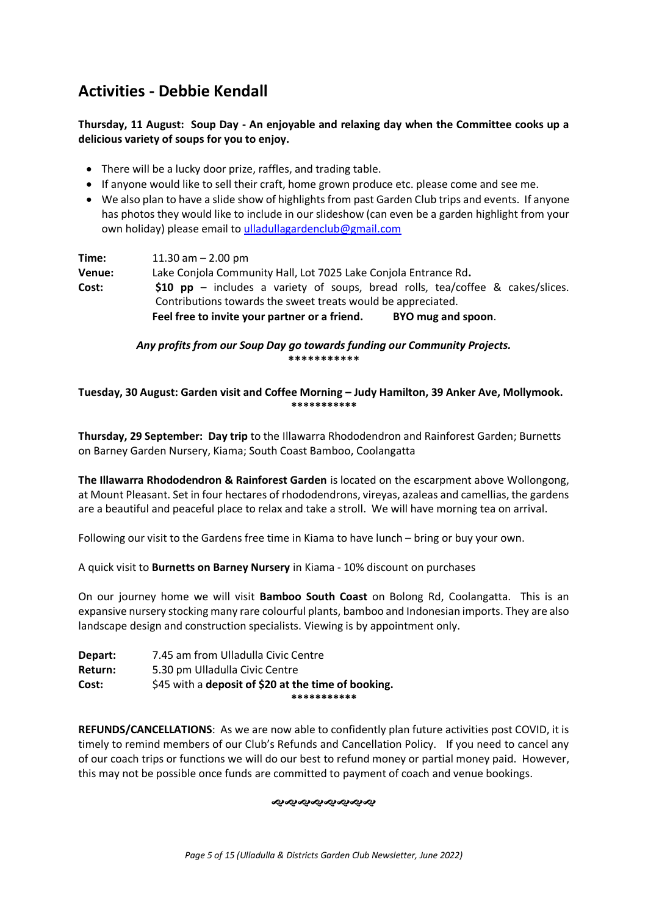## **Activities - Debbie Kendall**

### **Thursday, 11 August: Soup Day - An enjoyable and relaxing day when the Committee cooks up a delicious variety of soups for you to enjoy.**

- There will be a lucky door prize, raffles, and trading table.
- If anyone would like to sell their craft, home grown produce etc. please come and see me.
- We also plan to have a slide show of highlights from past Garden Club trips and events. If anyone has photos they would like to include in our slideshow (can even be a garden highlight from your own holiday) please email to [ulladullagardenclub@gmail.com](mailto:ulladullagardenclub@gmail.com)

**Time:** 11.30 am – 2.00 pm **Venue:** Lake Conjola Community Hall, Lot 7025 Lake Conjola Entrance Rd**. Cost: \$10 pp** – includes a variety of soups, bread rolls, tea/coffee & cakes/slices. Contributions towards the sweet treats would be appreciated. **Feel free to invite your partner or a friend. BYO mug and spoon**.

#### *Any profits from our Soup Day go towards funding our Community Projects.* **\*\*\*\*\*\*\*\*\*\*\***

#### **Tuesday, 30 August: Garden visit and Coffee Morning – Judy Hamilton, 39 Anker Ave, Mollymook. \*\*\*\*\*\*\*\*\*\*\***

**Thursday, 29 September: Day trip** to the Illawarra Rhododendron and Rainforest Garden; Burnetts on Barney Garden Nursery, Kiama; South Coast Bamboo, Coolangatta

**The Illawarra Rhododendron & Rainforest Garden** is located on the escarpment above Wollongong, at Mount Pleasant. Set in four hectares of rhododendrons, vireyas, azaleas and camellias, the gardens are a beautiful and peaceful place to relax and take a stroll. We will have morning tea on arrival.

Following our visit to the Gardens free time in Kiama to have lunch – bring or buy your own.

A quick visit to **Burnetts on Barney Nursery** in Kiama - 10% discount on purchases

On our journey home we will visit **Bamboo South Coast** on Bolong Rd, Coolangatta. This is an expansive nursery stocking many rare colourful plants, bamboo and Indonesian imports. They are also landscape design and construction specialists. Viewing is by appointment only.

| 7.45 am from Ulladulla Civic Centre                 |  |
|-----------------------------------------------------|--|
| 5.30 pm Ulladulla Civic Centre                      |  |
| \$45 with a deposit of \$20 at the time of booking. |  |
| ***********                                         |  |
|                                                     |  |

**REFUNDS/CANCELLATIONS**: As we are now able to confidently plan future activities post COVID, it is timely to remind members of our Club's Refunds and Cancellation Policy. If you need to cancel any of our coach trips or functions we will do our best to refund money or partial money paid. However, this may not be possible once funds are committed to payment of coach and venue bookings.

#### *સર્વેશ્વેશ્વેશ્વેશ્વેશ્વે*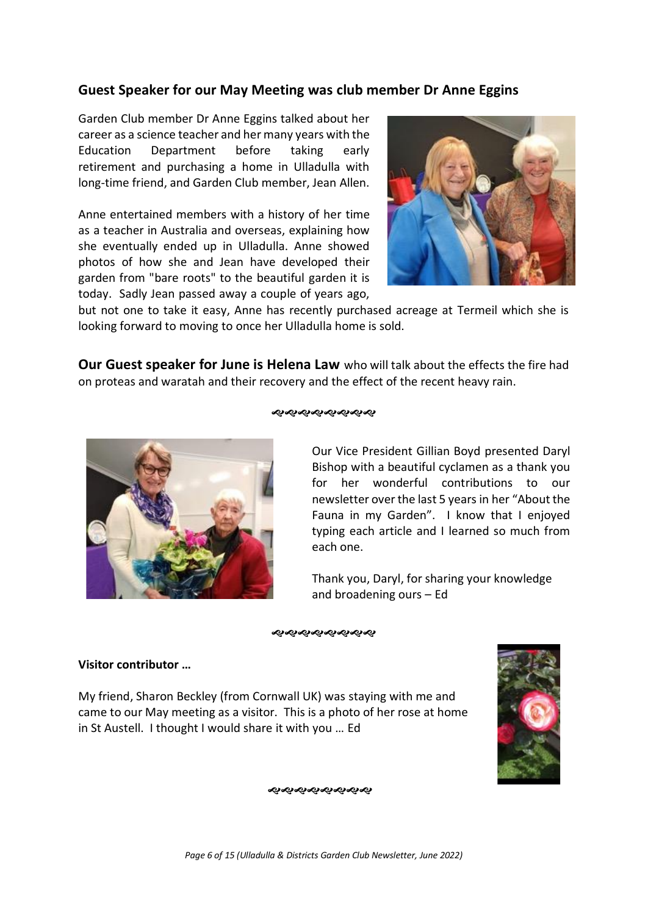## **Guest Speaker for our May Meeting was club member Dr Anne Eggins**

Garden Club member Dr Anne Eggins talked about her career as a science teacher and her many years with the Education Department before taking early retirement and purchasing a home in Ulladulla with long-time friend, and Garden Club member, Jean Allen.

Anne entertained members with a history of her time as a teacher in Australia and overseas, explaining how she eventually ended up in Ulladulla. Anne showed photos of how she and Jean have developed their garden from "bare roots" to the beautiful garden it is today. Sadly Jean passed away a couple of years ago,



but not one to take it easy, Anne has recently purchased acreage at Termeil which she is looking forward to moving to once her Ulladulla home is sold.

**Our Guest speaker for June is Helena Law** who will talk about the effects the fire had on proteas and waratah and their recovery and the effect of the recent heavy rain.



#### *sasasasa*s

Our Vice President Gillian Boyd presented Daryl Bishop with a beautiful cyclamen as a thank you for her wonderful contributions to our newsletter over the last 5 years in her "About the Fauna in my Garden". I know that I enjoyed typing each article and I learned so much from each one.

Thank you, Daryl, for sharing your knowledge and broadening ours – Ed

**����������** 

#### **Visitor contributor …**

My friend, Sharon Beckley (from Cornwall UK) was staying with me and came to our May meeting as a visitor. This is a photo of her rose at home in St Austell. I thought I would share it with you … Ed



5 తన తన తన తన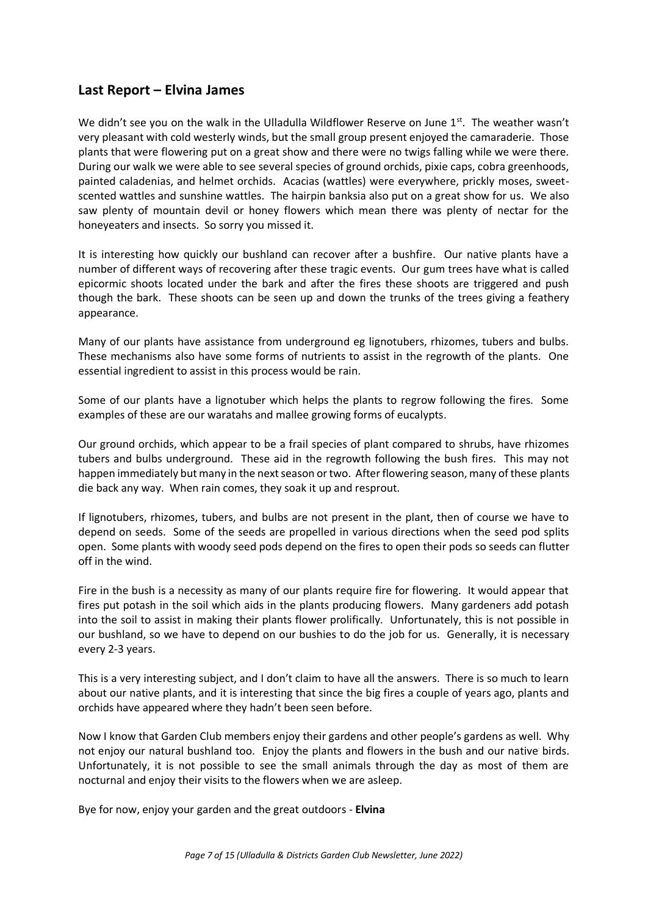## **Last Report – Elvina James**

We didn't see you on the walk in the Ulladulla Wildflower Reserve on June  $1^{st}$ . The weather wasn't very pleasant with cold westerly winds, but the small group present enjoyed the camaraderie. Those plants that were flowering put on a great show and there were no twigs falling while we were there. During our walk we were able to see several species of ground orchids, pixie caps, cobra greenhoods, painted caladenias, and helmet orchids. Acacias (wattles) were everywhere, prickly moses, sweetscented wattles and sunshine wattles. The hairpin banksia also put on a great show for us. We also saw plenty of mountain devil or honey flowers which mean there was plenty of nectar for the honeyeaters and insects. So sorry you missed it.

It is interesting how quickly our bushland can recover after a bushfire. Our native plants have a number of different ways of recovering after these tragic events. Our gum trees have what is called epicormic shoots located under the bark and after the fires these shoots are triggered and push though the bark. These shoots can be seen up and down the trunks of the trees giving a feathery appearance.

Many of our plants have assistance from underground eg lignotubers, rhizomes, tubers and bulbs. These mechanisms also have some forms of nutrients to assist in the regrowth of the plants. One essential ingredient to assist in this process would be rain.

Some of our plants have a lignotuber which helps the plants to regrow following the fires. Some examples of these are our waratahs and mallee growing forms of eucalypts.

Our ground orchids, which appear to be a frail species of plant compared to shrubs, have rhizomes tubers and bulbs underground. These aid in the regrowth following the bush fires. This may not happen immediately but many in the next season or two. After flowering season, many of these plants die back any way. When rain comes, they soak it up and resprout.

If lignotubers, rhizomes, tubers, and bulbs are not present in the plant, then of course we have to depend on seeds. Some of the seeds are propelled in various directions when the seed pod splits open. Some plants with woody seed pods depend on the fires to open their pods so seeds can flutter off in the wind.

Fire in the bush is a necessity as many of our plants require fire for flowering. It would appear that fires put potash in the soil which aids in the plants producing flowers. Many gardeners add potash into the soil to assist in making their plants flower prolifically. Unfortunately, this is not possible in our bushland, so we have to depend on our bushies to do the job for us. Generally, it is necessary every 2-3 years.

This is a very interesting subject, and I don't claim to have all the answers. There is so much to learn about our native plants, and it is interesting that since the big fires a couple of years ago, plants and orchids have appeared where they hadn't been seen before.

Now I know that Garden Club members enjoy their gardens and other people's gardens as well. Why not enjoy our natural bushland too. Enjoy the plants and flowers in the bush and our native birds. Unfortunately, it is not possible to see the small animals through the day as most of them are nocturnal and enjoy their visits to the flowers when we are asleep.

Bye for now, enjoy your garden and the great outdoors - **Elvina**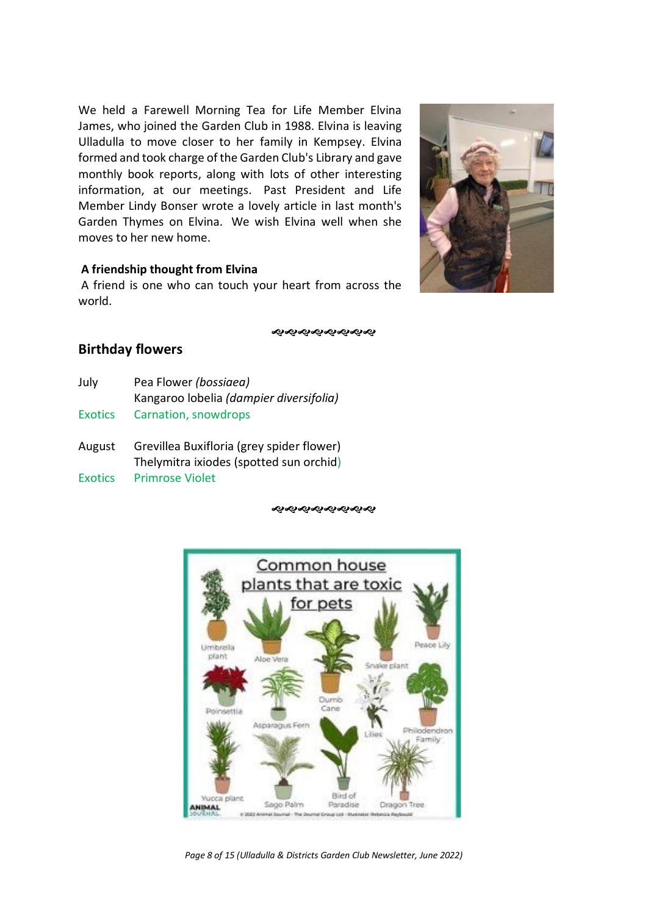We held a Farewell Morning Tea for Life Member Elvina James, who joined the Garden Club in 1988. Elvina is leaving Ulladulla to move closer to her family in Kempsey. Elvina formed and took charge of the Garden Club's Library and gave monthly book reports, along with lots of other interesting information, at our meetings. Past President and Life Member Lindy Bonser wrote a lovely article in last month's Garden Thymes on Elvina. We wish Elvina well when she moves to her new home.

#### **A friendship thought from Elvina**

A friend is one who can touch your heart from across the world.

#### **దీళుళుళుళుళుళుళు**

## **Birthday flowers**

- July Pea Flower *(bossiaea)* Kangaroo lobelia *(dampier diversifolia)* Exotics Carnation, snowdrops
- August Grevillea Buxifloria (grey spider flower) Thelymitra ixiodes (spotted sun orchid) Exotics Primrose Violet



*Page 8 of 15 (Ulladulla & Districts Garden Club Newsletter, June 2022)*

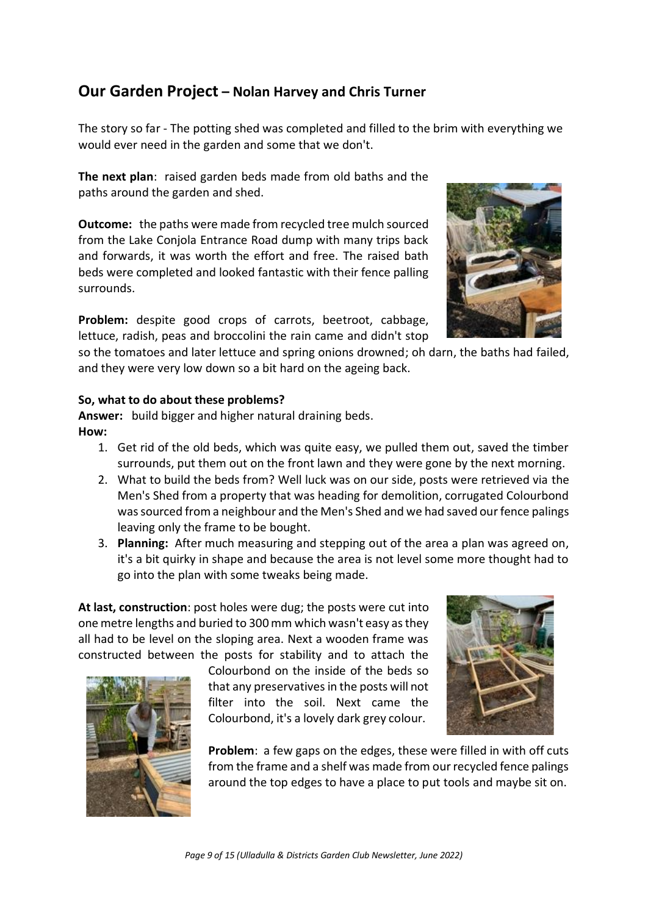## **Our Garden Project – Nolan Harvey and Chris Turner**

The story so far - The potting shed was completed and filled to the brim with everything we would ever need in the garden and some that we don't.

**The next plan**: raised garden beds made from old baths and the paths around the garden and shed.

**Outcome:** the paths were made from recycled tree mulch sourced from the Lake Conjola Entrance Road dump with many trips back and forwards, it was worth the effort and free. The raised bath beds were completed and looked fantastic with their fence palling surrounds.

**Problem:** despite good crops of carrots, beetroot, cabbage, lettuce, radish, peas and broccolini the rain came and didn't stop



so the tomatoes and later lettuce and spring onions drowned; oh darn, the baths had failed, and they were very low down so a bit hard on the ageing back.

#### **So, what to do about these problems?**

**Answer:** build bigger and higher natural draining beds. **How:**

- 1. Get rid of the old beds, which was quite easy, we pulled them out, saved the timber surrounds, put them out on the front lawn and they were gone by the next morning.
- 2. What to build the beds from? Well luck was on our side, posts were retrieved via the Men's Shed from a property that was heading for demolition, corrugated Colourbond was sourced from a neighbour and the Men's Shed and we had saved our fence palings leaving only the frame to be bought.
- 3. **Planning:** After much measuring and stepping out of the area a plan was agreed on, it's a bit quirky in shape and because the area is not level some more thought had to go into the plan with some tweaks being made.

**At last, construction**: post holes were dug; the posts were cut into one metre lengths and buried to 300 mm which wasn't easy as they all had to be level on the sloping area. Next a wooden frame was constructed between the posts for stability and to attach the





**Problem**: a few gaps on the edges, these were filled in with off cuts from the frame and a shelf was made from our recycled fence palings around the top edges to have a place to put tools and maybe sit on.

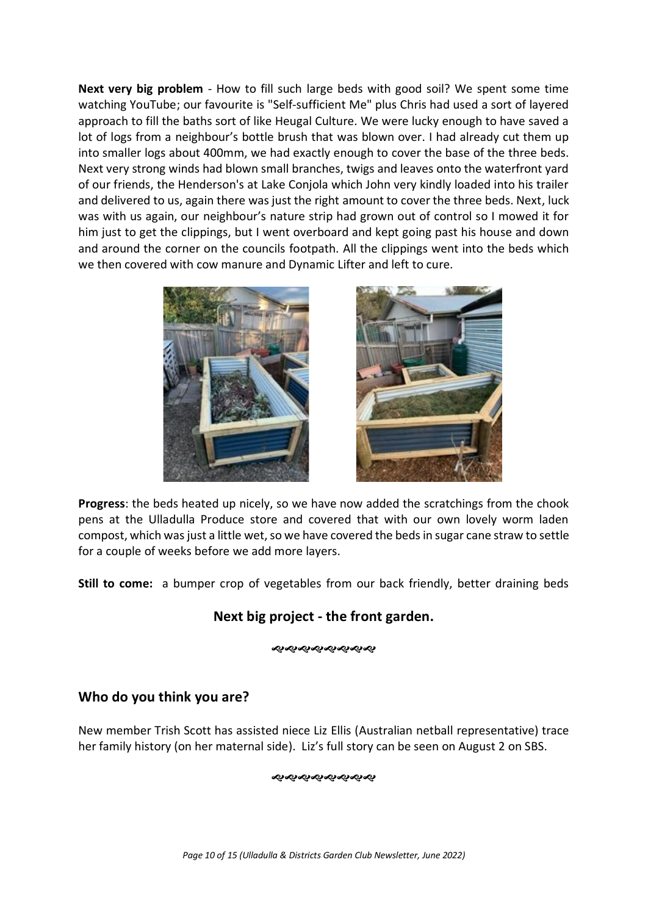**Next very big problem** - How to fill such large beds with good soil? We spent some time watching YouTube; our favourite is "Self-sufficient Me" plus Chris had used a sort of layered approach to fill the baths sort of like Heugal Culture. We were lucky enough to have saved a lot of logs from a neighbour's bottle brush that was blown over. I had already cut them up into smaller logs about 400mm, we had exactly enough to cover the base of the three beds. Next very strong winds had blown small branches, twigs and leaves onto the waterfront yard of our friends, the Henderson's at Lake Conjola which John very kindly loaded into his trailer and delivered to us, again there was just the right amount to cover the three beds. Next, luck was with us again, our neighbour's nature strip had grown out of control so I mowed it for him just to get the clippings, but I went overboard and kept going past his house and down and around the corner on the councils footpath. All the clippings went into the beds which we then covered with cow manure and Dynamic Lifter and left to cure.





**Progress**: the beds heated up nicely, so we have now added the scratchings from the chook pens at the Ulladulla Produce store and covered that with our own lovely worm laden compost, which was just a little wet, so we have covered the beds in sugar cane straw to settle for a couple of weeks before we add more layers.

**Still to come:** a bumper crop of vegetables from our back friendly, better draining beds

## **Next big project - the front garden.**

むむむむむむむむむ

## **Who do you think you are?**

New member Trish Scott has assisted niece Liz Ellis (Australian netball representative) trace her family history (on her maternal side). Liz's full story can be seen on August 2 on SBS.

#### **ର୍ଦ୍ଧର୍ବର୍ୟକ୍ରସ୍**ତ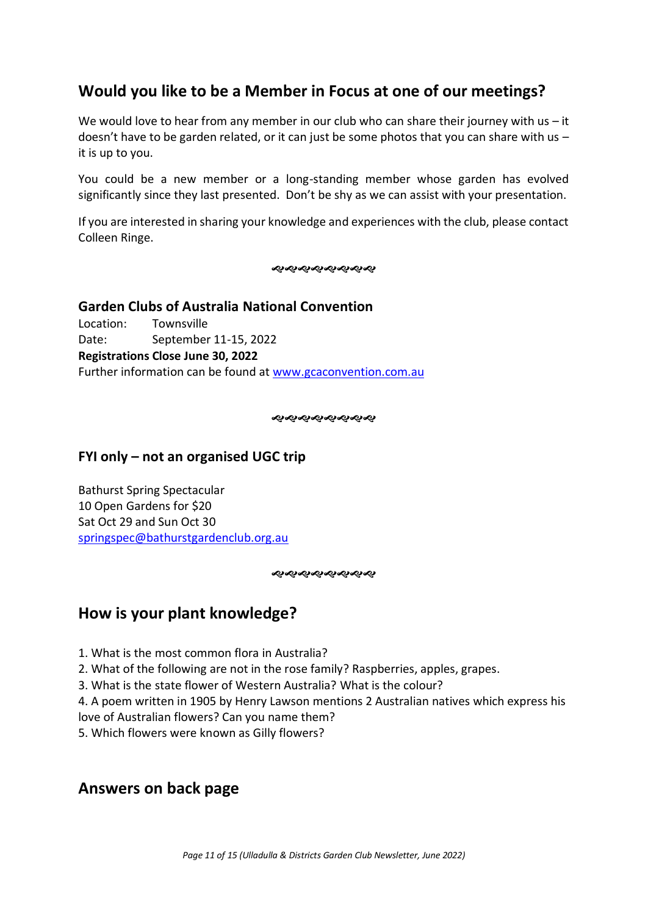## **Would you like to be a Member in Focus at one of our meetings?**

We would love to hear from any member in our club who can share their journey with us  $-$  it doesn't have to be garden related, or it can just be some photos that you can share with us  $$ it is up to you.

You could be a new member or a long-standing member whose garden has evolved significantly since they last presented. Don't be shy as we can assist with your presentation.

If you are interested in sharing your knowledge and experiences with the club, please contact Colleen Ringe.

### **Garden Clubs of Australia National Convention**

Location: Townsville Date: September 11-15, 2022 **Registrations Close June 30, 2022** Further information can be found at [www.gcaconvention.com.au](http://www.gcaconvention.com.au/)

ళుళుళుళుళుళుళు

## **FYI only – not an organised UGC trip**

Bathurst Spring Spectacular 10 Open Gardens for \$20 Sat Oct 29 and Sun Oct 30 [springspec@bathurstgardenclub.org.au](mailto:springspec@bathurstgardenclub.org.au)

*સ્વર્ય સર્વ્ય સર્વ્ય સર્વ* 

## **How is your plant knowledge?**

1. What is the most common flora in Australia?

2. What of the following are not in the rose family? Raspberries, apples, grapes.

3. What is the state flower of Western Australia? What is the colour?

4. A poem written in 1905 by Henry Lawson mentions 2 Australian natives which express his love of Australian flowers? Can you name them?

5. Which flowers were known as Gilly flowers?

## **Answers on back page**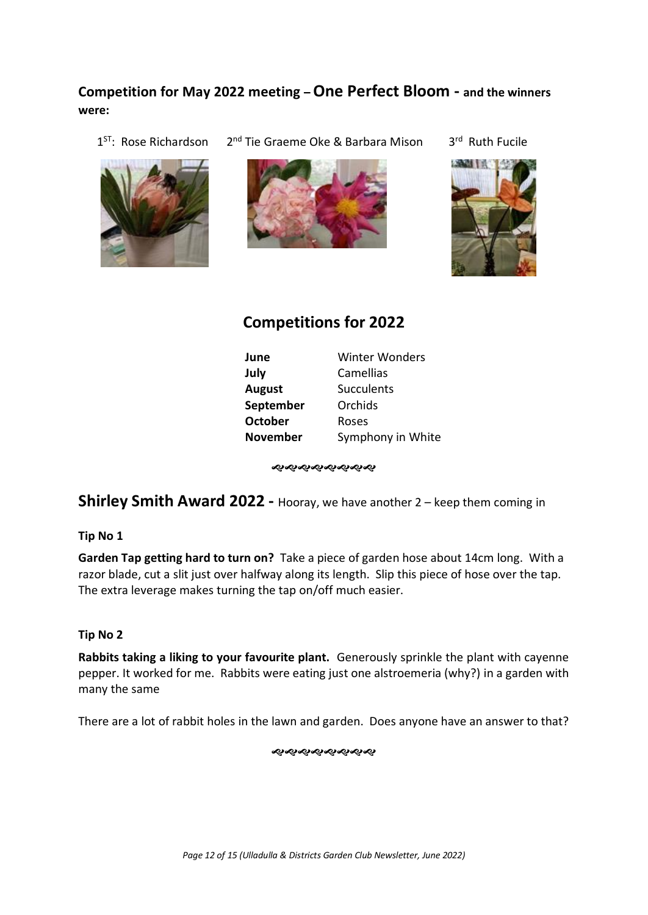## **Competition for May 2022 meeting –One Perfect Bloom - and the winners were:**

1<sup>ST</sup>: Rose Richardson 2

2<sup>nd</sup> Tie Graeme Oke & Barbara Mison









## **Competitions for 2022**

| June            | <b>Winter Wonders</b> |
|-----------------|-----------------------|
| July            | Camellias             |
| <b>August</b>   | Succulents            |
| September       | Orchids               |
| <b>October</b>  | Roses                 |
| <b>November</b> | Symphony in White     |

おおおおおおおお

**Shirley Smith Award 2022 -** Hooray, we have another 2 – keep them coming in

#### **Tip No 1**

**Garden Tap getting hard to turn on?** Take a piece of garden hose about 14cm long. With a razor blade, cut a slit just over halfway along its length. Slip this piece of hose over the tap. The extra leverage makes turning the tap on/off much easier.

#### **Tip No 2**

**Rabbits taking a liking to your favourite plant.** Generously sprinkle the plant with cayenne pepper. It worked for me. Rabbits were eating just one alstroemeria (why?) in a garden with many the same

There are a lot of rabbit holes in the lawn and garden. Does anyone have an answer to that?

やややややややや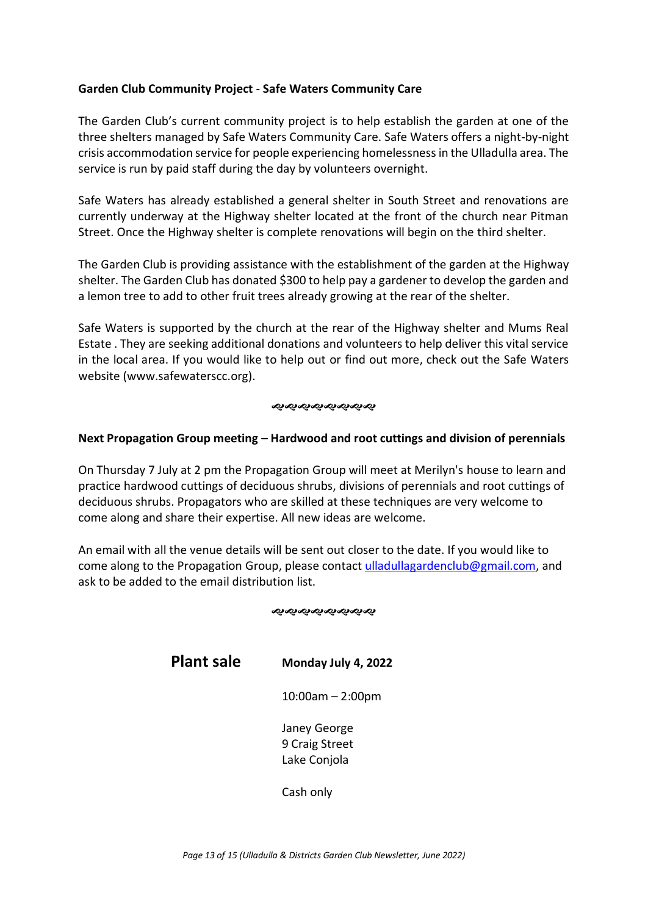### **Garden Club Community Project** - **Safe Waters Community Care**

The Garden Club's current community project is to help establish the garden at one of the three shelters managed by Safe Waters Community Care. Safe Waters offers a night-by-night crisis accommodation service for people experiencing homelessness in the Ulladulla area. The service is run by paid staff during the day by volunteers overnight.

Safe Waters has already established a general shelter in South Street and renovations are currently underway at the Highway shelter located at the front of the church near Pitman Street. Once the Highway shelter is complete renovations will begin on the third shelter.

The Garden Club is providing assistance with the establishment of the garden at the Highway shelter. The Garden Club has donated \$300 to help pay a gardener to develop the garden and a lemon tree to add to other fruit trees already growing at the rear of the shelter.

Safe Waters is supported by the church at the rear of the Highway shelter and Mums Real Estate . They are seeking additional donations and volunteers to help deliver this vital service in the local area. If you would like to help out or find out more, check out the Safe Waters website (www.safewaterscc.org).

#### やめめぬめぬぬめ

#### **Next Propagation Group meeting – Hardwood and root cuttings and division of perennials**

On Thursday 7 July at 2 pm the Propagation Group will meet at Merilyn's house to learn and practice hardwood cuttings of deciduous shrubs, divisions of perennials and root cuttings of deciduous shrubs. Propagators who are skilled at these techniques are very welcome to come along and share their expertise. All new ideas are welcome.

An email with all the venue details will be sent out closer to the date. If you would like to come along to the Propagation Group, please contact [ulladullagardenclub@gmail.com,](mailto:ulladullagardenclub@gmail.com) and ask to be added to the email distribution list.

#### **ର୍ଦ୍ଧଶ୍ୟକ୍ରମ୍ବର୍**

**Plant sale Monday July 4, 2022**

10:00am – 2:00pm

Janey George 9 Craig Street Lake Conjola

Cash only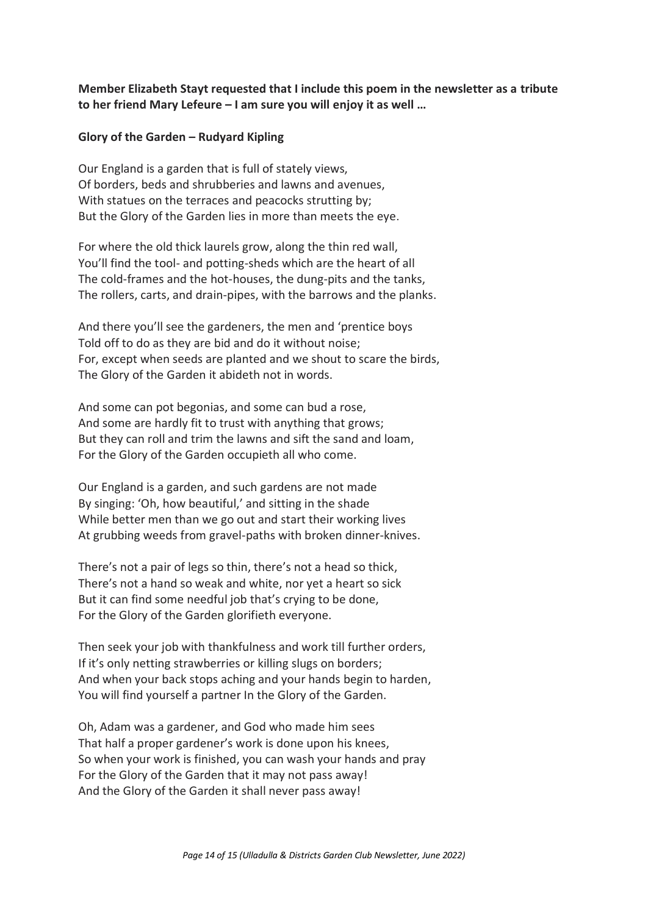### **Member Elizabeth Stayt requested that I include this poem in the newsletter as a tribute to her friend Mary Lefeure – I am sure you will enjoy it as well …**

### **Glory of the Garden – Rudyard Kipling**

Our England is a garden that is full of stately views, Of borders, beds and shrubberies and lawns and avenues, With statues on the terraces and peacocks strutting by; But the Glory of the Garden lies in more than meets the eye.

For where the old thick laurels grow, along the thin red wall, You'll find the tool- and potting-sheds which are the heart of all The cold-frames and the hot-houses, the dung-pits and the tanks, The rollers, carts, and drain-pipes, with the barrows and the planks.

And there you'll see the gardeners, the men and 'prentice boys Told off to do as they are bid and do it without noise; For, except when seeds are planted and we shout to scare the birds, The Glory of the Garden it abideth not in words.

And some can pot begonias, and some can bud a rose, And some are hardly fit to trust with anything that grows; But they can roll and trim the lawns and sift the sand and loam, For the Glory of the Garden occupieth all who come.

Our England is a garden, and such gardens are not made By singing: 'Oh, how beautiful,' and sitting in the shade While better men than we go out and start their working lives At grubbing weeds from gravel-paths with broken dinner-knives.

There's not a pair of legs so thin, there's not a head so thick, There's not a hand so weak and white, nor yet a heart so sick But it can find some needful job that's crying to be done, For the Glory of the Garden glorifieth everyone.

Then seek your job with thankfulness and work till further orders, If it's only netting strawberries or killing slugs on borders; And when your back stops aching and your hands begin to harden, You will find yourself a partner In the Glory of the Garden.

Oh, Adam was a gardener, and God who made him sees That half a proper gardener's work is done upon his knees, So when your work is finished, you can wash your hands and pray For the Glory of the Garden that it may not pass away! And the Glory of the Garden it shall never pass away!